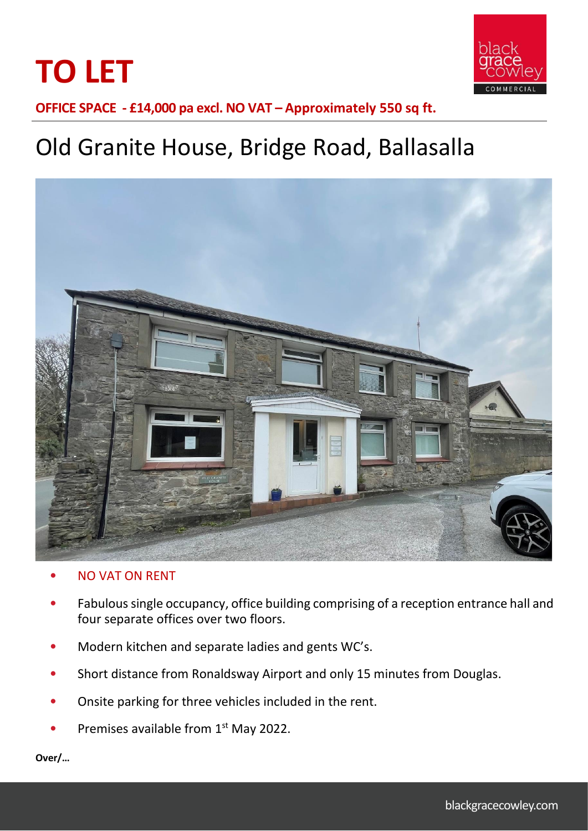



**OFFICE SPACE - £14,000 pa excl. NO VAT – Approximately 550 sq ft.**

# Old Granite House, Bridge Road, Ballasalla



- NO VAT ON RENT
- Fabulous single occupancy, office building comprising of a reception entrance hall and four separate offices over two floors.
- Modern kitchen and separate ladies and gents WC's.
- Short distance from Ronaldsway Airport and only 15 minutes from Douglas.
- Onsite parking for three vehicles included in the rent.
- Premises available from 1<sup>st</sup> May 2022.

**Over/…**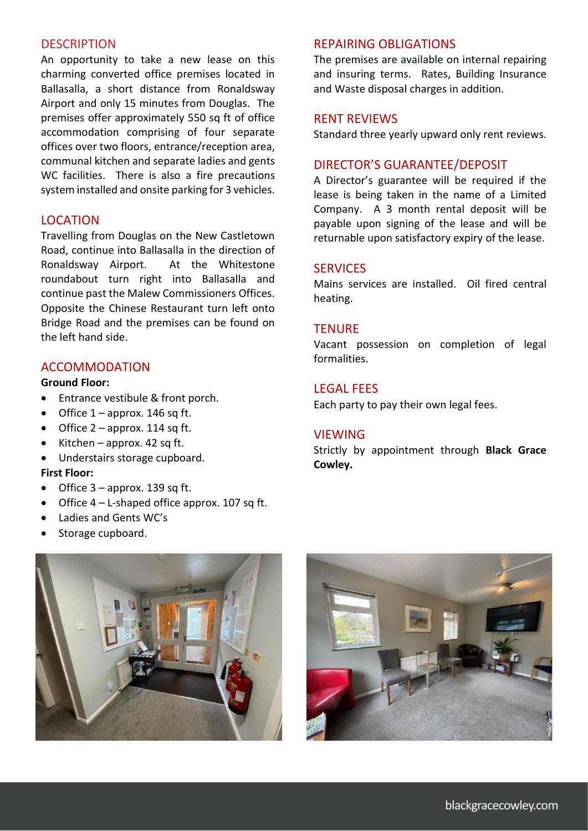# **DESCRIPTION**

An opportunity to take a new lease on this charming converted office premises located in Ballasalla, a short distance from Ronaldsway Airport and only 15 minutes from Douglas. The premises offer approximately 550 sq ft of office accommodation comprising of four separate offices over two floors, entrance/reception area, communal kitchen and separate ladies and gents WC facilities. There is also a fire precautions system installed and onsite parking for 3 vehicles.

# LOCATION

Travelling from Douglas on the New Castletown Road, continue into Ballasalla in the direction of Ronaldsway Airport. At the Whitestone roundabout turn right into Ballasalla and continue past the Malew Commissioners Offices. Opposite the Chinese Restaurant turn left onto Bridge Road and the premises can be found on the left hand side.

# ACCOMMODATION

# **Ground Floor:**

- Entrance vestibule & front porch.
- Office  $1$  approx. 146 sq ft.
- Office  $2$  approx. 114 sq ft.
- Kitchen approx. 42 sq ft.
- Understairs storage cupboard. **First Floor:**
- Office  $3$  approx. 139 sq ft.
- Office  $4 L$ -shaped office approx. 107 sq ft.
- Ladies and Gents WC's
- Storage cupboard.



# REPAIRING OBLIGATIONS

The premises are available on internal repairing and insuring terms. Rates, Building Insurance and Waste disposal charges in addition.

### RENT REVIEWS

Standard three yearly upward only rent reviews.

### DIRECTOR'S GUARANTEE/DEPOSIT

A Director's guarantee will be required if the lease is being taken in the name of a Limited Company. A 3 month rental deposit will be payable upon signing of the lease and will be returnable upon satisfactory expiry of the lease.

#### **SERVICES**

Mains services are installed. Oil fired central heating.

#### **TENURE**

Vacant possession on completion of legal formalities.

# LEGAL FEES

Each party to pay their own legal fees.

### VIEWING

Strictly by appointment through **Black Grace Cowley.**